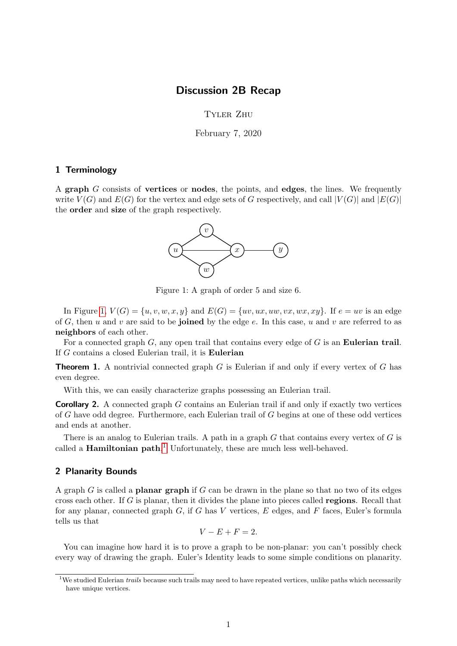# Discussion 2B Recap

Tyler Zhu

February 7, 2020

## 1 Terminology

<span id="page-0-0"></span>A graph G consists of vertices or nodes, the points, and edges, the lines. We frequently write  $V(G)$  and  $E(G)$  for the vertex and edge sets of G respectively, and call  $|V(G)|$  and  $|E(G)|$ the order and size of the graph respectively.



Figure 1: A graph of order 5 and size 6.

In Figure [1,](#page-0-0)  $V(G) = \{u, v, w, x, y\}$  and  $E(G) = \{uv, ux, uw, vx, wx, xy\}$ . If  $e = uv$  is an edge of G, then u and v are said to be joined by the edge  $e$ . In this case, u and v are referred to as neighbors of each other.

For a connected graph  $G$ , any open trail that contains every edge of  $G$  is an **Eulerian trail**. If G contains a closed Eulerian trail, it is Eulerian

**Theorem 1.** A nontrivial connected graph  $G$  is Eulerian if and only if every vertex of  $G$  has even degree.

With this, we can easily characterize graphs possessing an Eulerian trail.

**Corollary 2.** A connected graph G contains an Eulerian trail if and only if exactly two vertices of G have odd degree. Furthermore, each Eulerian trail of G begins at one of these odd vertices and ends at another.

There is an analog to Eulerian trails. A path in a graph  $G$  that contains every vertex of  $G$  is called a **Hamiltonian path**.<sup>[1](#page-0-1)</sup> Unfortunately, these are much less well-behaved.

#### 2 Planarity Bounds

A graph  $G$  is called a **planar graph** if  $G$  can be drawn in the plane so that no two of its edges cross each other. If  $G$  is planar, then it divides the plane into pieces called **regions**. Recall that for any planar, connected graph  $G$ , if G has V vertices,  $E$  edges, and  $F$  faces, Euler's formula tells us that

$$
V - E + F = 2.
$$

You can imagine how hard it is to prove a graph to be non-planar: you can't possibly check every way of drawing the graph. Euler's Identity leads to some simple conditions on planarity.

<span id="page-0-1"></span><sup>&</sup>lt;sup>1</sup>We studied Eulerian *trails* because such trails may need to have repeated vertices, unlike paths which necessarily have unique vertices.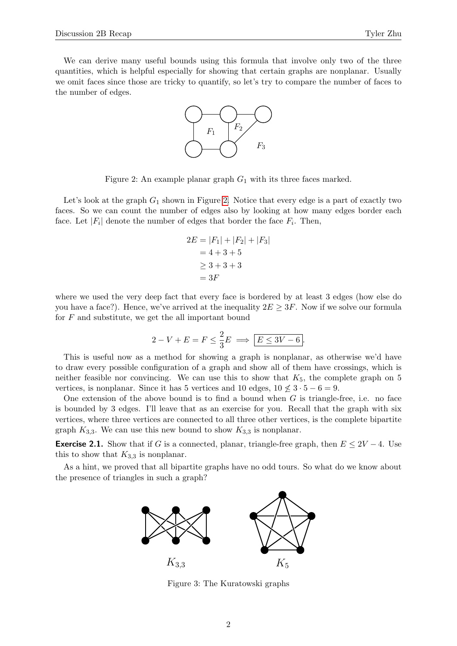<span id="page-1-0"></span>We can derive many useful bounds using this formula that involve only two of the three quantities, which is helpful especially for showing that certain graphs are nonplanar. Usually we omit faces since those are tricky to quantify, so let's try to compare the number of faces to the number of edges.



Figure 2: An example planar graph  $G_1$  with its three faces marked.

Let's look at the graph  $G_1$  shown in Figure [2.](#page-1-0) Notice that every edge is a part of exactly two faces. So we can count the number of edges also by looking at how many edges border each face. Let  $|F_i|$  denote the number of edges that border the face  $F_i$ . Then,

$$
2E = |F_1| + |F_2| + |F_3|
$$
  
= 4 + 3 + 5  

$$
\ge 3 + 3 + 3
$$
  
= 3F

where we used the very deep fact that every face is bordered by at least 3 edges (how else do you have a face?). Hence, we've arrived at the inequality  $2E \geq 3F$ . Now if we solve our formula for  $F$  and substitute, we get the all important bound

$$
2 - V + E = F \le \frac{2}{3}E \implies \boxed{E \le 3V - 6}.
$$

This is useful now as a method for showing a graph is nonplanar, as otherwise we'd have to draw every possible configuration of a graph and show all of them have crossings, which is neither feasible nor convincing. We can use this to show that  $K_5$ , the complete graph on 5 vertices, is nonplanar. Since it has 5 vertices and 10 edges,  $10 \nleq 3 \cdot 5 - 6 = 9$ .

One extension of the above bound is to find a bound when  $G$  is triangle-free, i.e. no face is bounded by 3 edges. I'll leave that as an exercise for you. Recall that the graph with six vertices, where three vertices are connected to all three other vertices, is the complete bipartite graph  $K_{3,3}$ . We can use this new bound to show  $K_{3,3}$  is nonplanar.

**Exercise 2.1.** Show that if G is a connected, planar, triangle-free graph, then  $E \leq 2V - 4$ . Use this to show that  $K_{3,3}$  is nonplanar.

As a hint, we proved that all bipartite graphs have no odd tours. So what do we know about the presence of triangles in such a graph?



Figure 3: The Kuratowski graphs